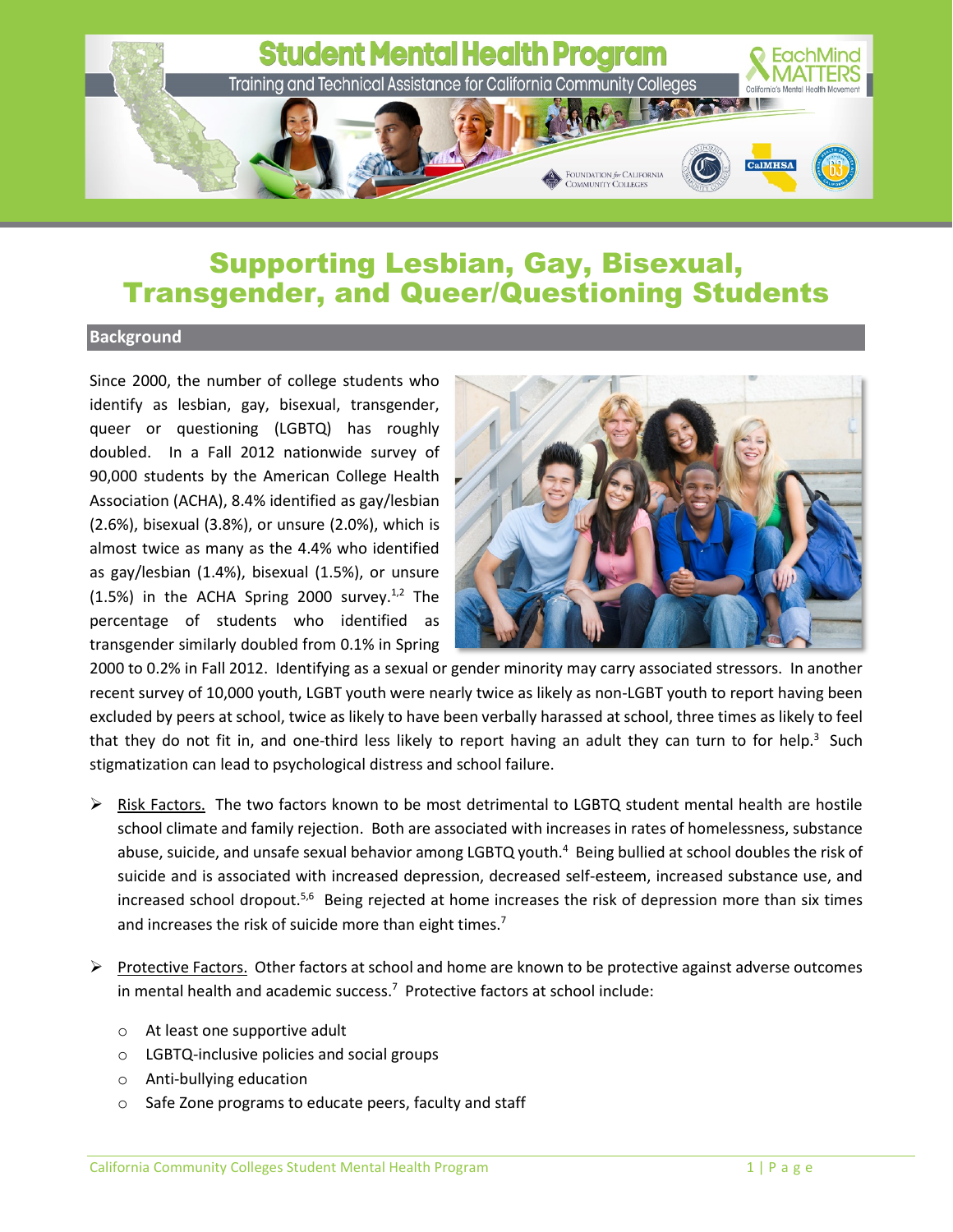

## Supporting Lesbian, Gay, Bisexual, Transgender, and Queer/Questioning Students

## **Background**

Since 2000, the number of college students who identify as lesbian, gay, bisexual, transgender, queer or questioning (LGBTQ) has roughly doubled. In a Fall 2012 nationwide survey of 90,000 students by the American College Health Association (ACHA), 8.4% identified as gay/lesbian (2.6%), bisexual (3.8%), or unsure (2.0%), which is almost twice as many as the 4.4% who identified as gay/lesbian (1.4%), bisexual (1.5%), or unsure  $(1.5%)$  in the ACHA Spring 2000 survey.<sup>1,2</sup> The percentage of students who identified as transgender similarly doubled from 0.1% in Spring



2000 to 0.2% in Fall 2012. Identifying as a sexual or gender minority may carry associated stressors. In another recent survey of 10,000 youth, LGBT youth were nearly twice as likely as non-LGBT youth to report having been excluded by peers at school, twice as likely to have been verbally harassed at school, three times as likely to feel that they do not fit in, and one-third less likely to report having an adult they can turn to for help.<sup>3</sup> Such stigmatization can lead to psychological distress and school failure.

- $\triangleright$  Risk Factors. The two factors known to be most detrimental to LGBTQ student mental health are hostile school climate and family rejection. Both are associated with increases in rates of homelessness, substance abuse, suicide, and unsafe sexual behavior among LGBTQ youth.<sup>4</sup> Being bullied at school doubles the risk of suicide and is associated with increased depression, decreased self-esteem, increased substance use, and increased school dropout.<sup>5,6</sup> Being rejected at home increases the risk of depression more than six times and increases the risk of suicide more than eight times.<sup>7</sup>
- Protective Factors. Other factors at school and home are known to be protective against adverse outcomes in mental health and academic success. 7 Protective factors at school include:
	- o At least one supportive adult
	- o LGBTQ-inclusive policies and social groups
	- o Anti-bullying education
	- o Safe Zone programs to educate peers, faculty and staff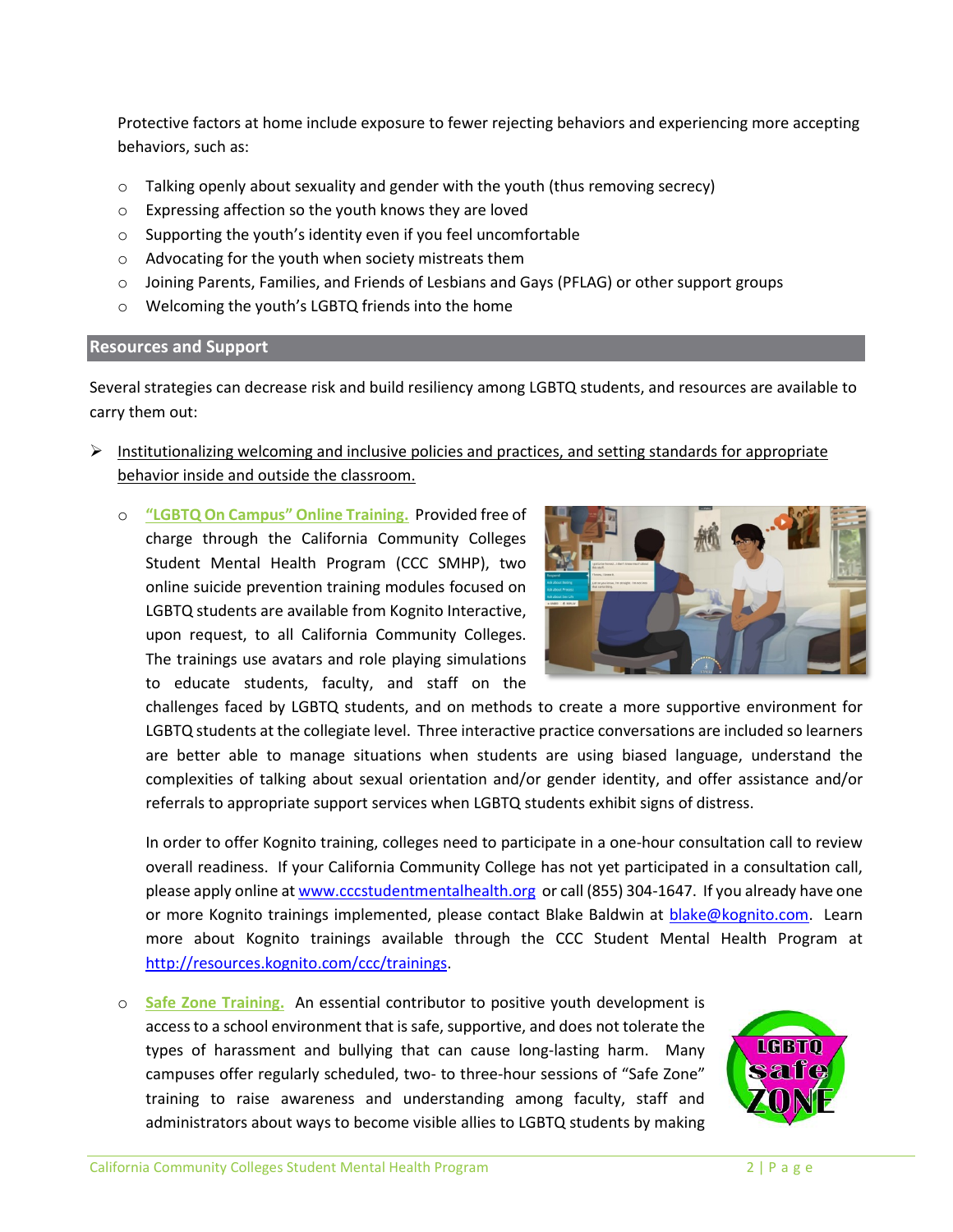Protective factors at home include exposure to fewer rejecting behaviors and experiencing more accepting behaviors, such as:

- $\circ$  Talking openly about sexuality and gender with the youth (thus removing secrecy)
- o Expressing affection so the youth knows they are loved
- o Supporting the youth's identity even if you feel uncomfortable
- o Advocating for the youth when society mistreats them
- o Joining Parents, Families, and Friends of Lesbians and Gays (PFLAG) or other support groups
- o Welcoming the youth's LGBTQ friends into the home

## **Resources and Support**

Several strategies can decrease risk and build resiliency among LGBTQ students, and resources are available to carry them out:

- $\triangleright$  Institutionalizing welcoming and inclusive policies and practices, and setting standards for appropriate behavior inside and outside the classroom.
	- o **"LGBTQ On Campus" Online Training.** Provided free of charge through the California Community Colleges Student Mental Health Program (CCC SMHP), two online suicide prevention training modules focused on LGBTQ students are available from Kognito Interactive, upon request, to all California Community Colleges. The trainings use avatars and role playing simulations to educate students, faculty, and staff on the



challenges faced by LGBTQ students, and on methods to create a more supportive environment for LGBTQ students at the collegiate level. Three interactive practice conversations are included so learners are better able to manage situations when students are using biased language, understand the complexities of talking about sexual orientation and/or gender identity, and offer assistance and/or referrals to appropriate support services when LGBTQ students exhibit signs of distress.

In order to offer Kognito training, colleges need to participate in a one-hour consultation call to review overall readiness. If your California Community College has not yet participated in a consultation call, please apply online at [www.cccstudentmentalhealth.org](http://www.cccstudentmentalhealth.org/) or call (855) 304-1647. If you already have one or more Kognito trainings implemented, please contact Blake Baldwin at [blake@kognito.com.](mailto:blake@kognito.com) Learn more about Kognito trainings available through the CCC Student Mental Health Program at [http://resources.kognito.com/ccc/trainings.](http://resources.kognito.com/ccc/trainings)

o **Safe Zone Training.** An essential contributor to positive youth development is access to a school environment that is safe, supportive, and does not tolerate the types of harassment and bullying that can cause long-lasting harm. Many campuses offer regularly scheduled, two- to three-hour sessions of "Safe Zone" training to raise awareness and understanding among faculty, staff and administrators about ways to become visible allies to LGBTQ students by making

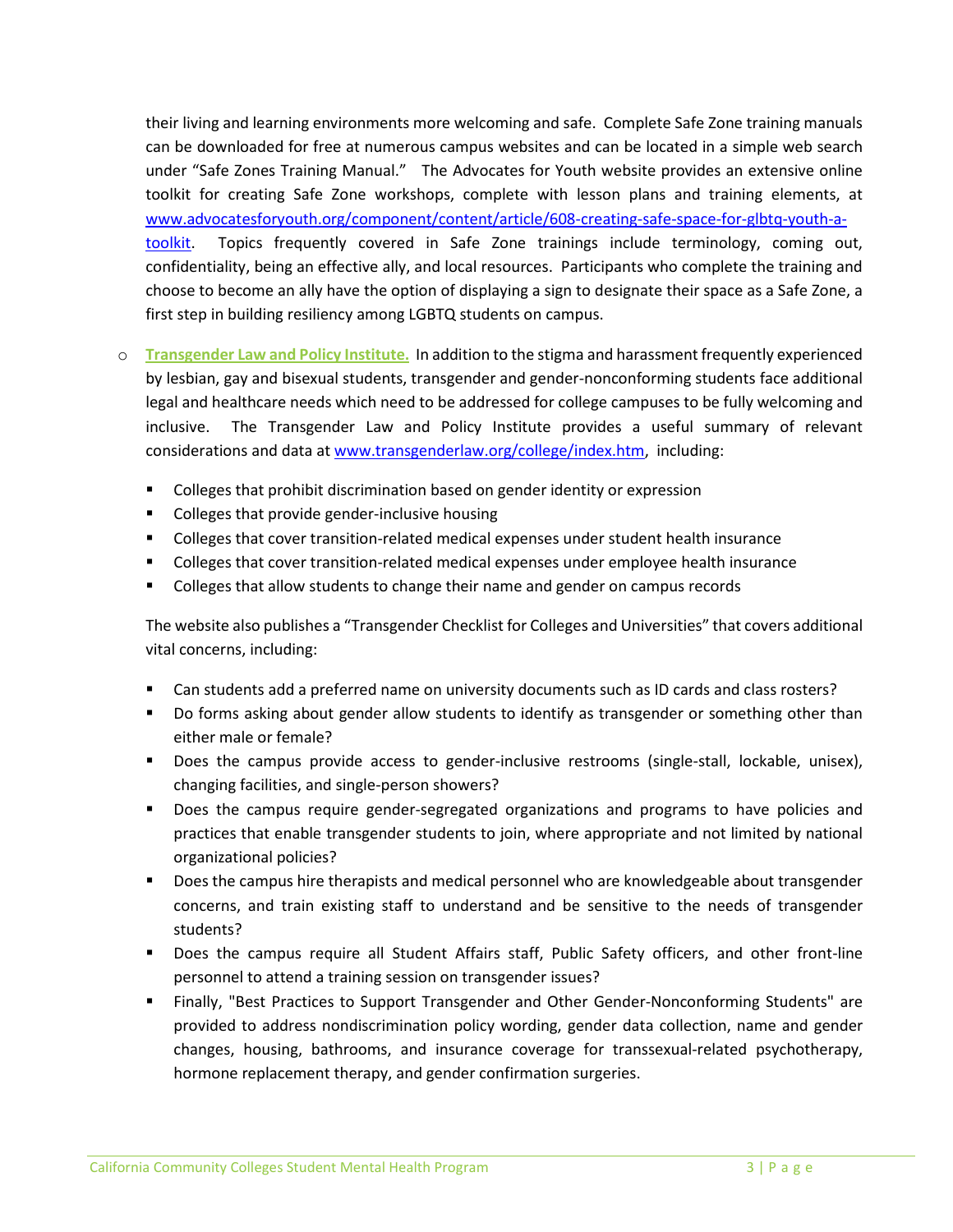their living and learning environments more welcoming and safe. Complete Safe Zone training manuals can be downloaded for free at numerous campus websites and can be located in a simple web search under "Safe Zones Training Manual." The Advocates for Youth website provides an extensive online toolkit for creating Safe Zone workshops, complete with lesson plans and training elements, at [www.advocatesforyouth.org/component/content/article/608-creating-safe-space-for-glbtq-youth-a](http://www.advocatesforyouth.org/component/content/article/608-creating-safe-space-for-glbtq-youth-a-toolkit)[toolkit.](http://www.advocatesforyouth.org/component/content/article/608-creating-safe-space-for-glbtq-youth-a-toolkit) Topics frequently covered in Safe Zone trainings include terminology, coming out, confidentiality, being an effective ally, and local resources. Participants who complete the training and choose to become an ally have the option of displaying a sign to designate their space as a Safe Zone, a first step in building resiliency among LGBTQ students on campus.

- o **Transgender Law and Policy Institute.** In addition to the stigma and harassment frequently experienced by lesbian, gay and bisexual students, transgender and gender-nonconforming students face additional legal and healthcare needs which need to be addressed for college campuses to be fully welcoming and inclusive. The Transgender Law and Policy Institute provides a useful summary of relevant considerations and data at [www.transgenderlaw.org/college/index.htm,](http://www.transgenderlaw.org/college/index.htm) including:
	- Colleges that prohibit discrimination based on gender identity or expression
	- **•** Colleges that provide gender-inclusive housing
	- **Colleges that cover transition-related medical expenses under student health insurance**
	- **Colleges that cover transition-related medical expenses under employee health insurance**
	- **Colleges that allow students to change their name and gender on campus records**

The website also publishes a "Transgender Checklist for Colleges and Universities" that covers additional vital concerns, including:

- Can students add a preferred name on university documents such as ID cards and class rosters?
- Do forms asking about gender allow students to identify as transgender or something other than either male or female?
- **Does the campus provide access to gender-inclusive restrooms (single-stall, lockable, unisex),** changing facilities, and single-person showers?
- **Does the campus require gender-segregated organizations and programs to have policies and** practices that enable transgender students to join, where appropriate and not limited by national organizational policies?
- **Does the campus hire therapists and medical personnel who are knowledgeable about transgender** concerns, and train existing staff to understand and be sensitive to the needs of transgender students?
- **Does the campus require all Student Affairs staff, Public Safety officers, and other front-line** personnel to attend a training session on transgender issues?
- Finally, "Best Practices to Support Transgender and Other Gender-Nonconforming Students" are provided to address nondiscrimination policy wording, gender data collection, name and gender changes, housing, bathrooms, and insurance coverage for transsexual-related psychotherapy, hormone replacement therapy, and gender confirmation surgeries.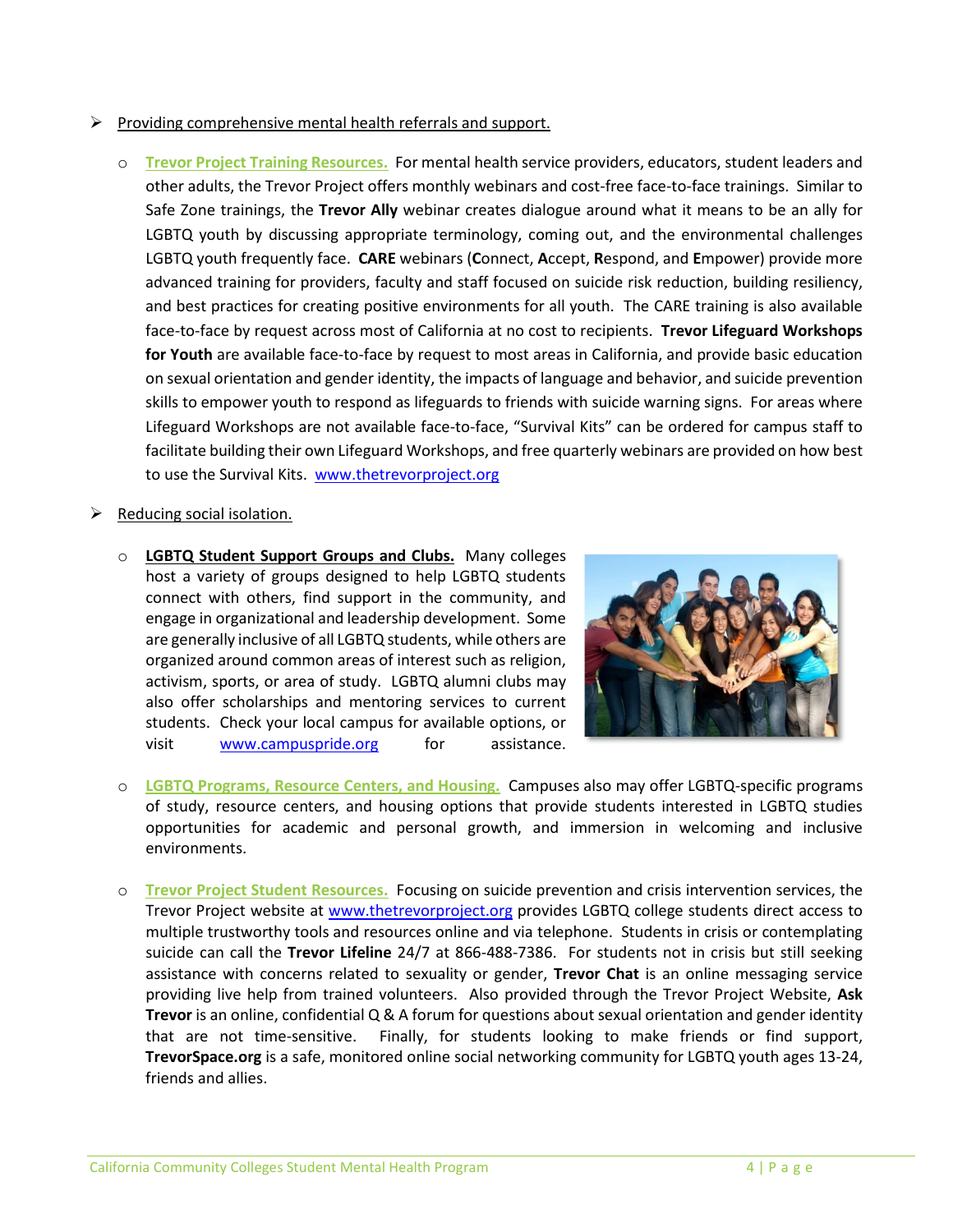- $\triangleright$  Providing comprehensive mental health referrals and support.
	- o **Trevor Project Training Resources.** For mental health service providers, educators, student leaders and other adults, the Trevor Project offers monthly webinars and cost-free face-to-face trainings. Similar to Safe Zone trainings, the **Trevor Ally** webinar creates dialogue around what it means to be an ally for LGBTQ youth by discussing appropriate terminology, coming out, and the environmental challenges LGBTQ youth frequently face. **CARE** webinars (**C**onnect, **A**ccept, **R**espond, and **E**mpower) provide more advanced training for providers, faculty and staff focused on suicide risk reduction, building resiliency, and best practices for creating positive environments for all youth. The CARE training is also available face-to-face by request across most of California at no cost to recipients. **Trevor Lifeguard Workshops for Youth** are available face-to-face by request to most areas in California, and provide basic education on sexual orientation and gender identity, the impacts of language and behavior, and suicide prevention skills to empower youth to respond as lifeguards to friends with suicide warning signs. For areas where Lifeguard Workshops are not available face-to-face, "Survival Kits" can be ordered for campus staff to facilitate building their own Lifeguard Workshops, and free quarterly webinars are provided on how best to use the Survival Kits. [www.thetrevorproject.org](http://www.thetrevorproject.org/)

## Reducing social isolation.

o **LGBTQ Student Support Groups and Clubs.** Many colleges host a variety of groups designed to help LGBTQ students connect with others, find support in the community, and engage in organizational and leadership development. Some are generally inclusive of all LGBTQ students, while others are organized around common areas of interest such as religion, activism, sports, or area of study. LGBTQ alumni clubs may also offer scholarships and mentoring services to current students. Check your local campus for available options, or visit [www.campuspride.org](http://www.campuspride.org/) for assistance.



- o **LGBTQ Programs, Resource Centers, and Housing.** Campuses also may offer LGBTQ-specific programs of study, resource centers, and housing options that provide students interested in LGBTQ studies opportunities for academic and personal growth, and immersion in welcoming and inclusive environments.
- o **Trevor Project Student Resources.** Focusing on suicide prevention and crisis intervention services, the Trevor Project website at [www.thetrevorproject.org](http://www.thetrevorproject.org/) provides LGBTQ college students direct access to multiple trustworthy tools and resources online and via telephone. Students in crisis or contemplating suicide can call the **Trevor Lifeline** 24/7 at 866-488-7386. For students not in crisis but still seeking assistance with concerns related to sexuality or gender, **Trevor Chat** is an online messaging service providing live help from trained volunteers. Also provided through the Trevor Project Website, **Ask Trevor** is an online, confidential Q & A forum for questions about sexual orientation and gender identity that are not time-sensitive. Finally, for students looking to make friends or find support, **TrevorSpace.org** is a safe, monitored online social networking community for LGBTQ youth ages 13-24, friends and allies.